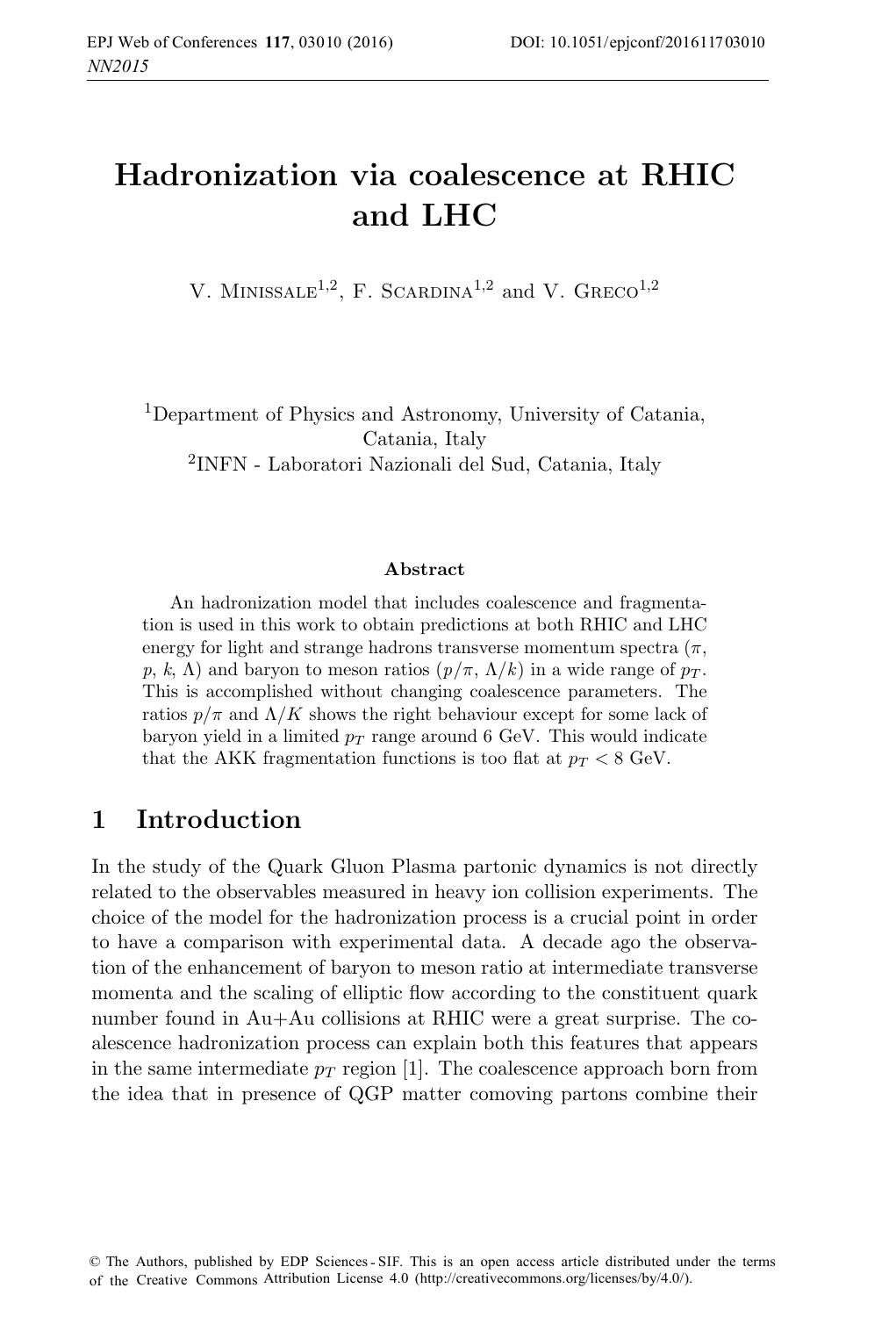# **Hadronization via coalescence at RHIC and LHC**

V. MINISSALE<sup>1,2</sup>, F. SCARDINA<sup>1,2</sup> and V. GRECO<sup>1,2</sup>

<sup>1</sup>Department of Physics and Astronomy, University of Catania, Catania, Italy <sup>2</sup>INFN - Laboratori Nazionali del Sud, Catania, Italy

#### **Abstract**

An hadronization model that includes coalescence and fragmentation is used in this work to obtain predictions at both RHIC and LHC energy for light and strange hadrons transverse momentum spectra  $(\pi,$ p, k,  $\Lambda$ ) and baryon to meson ratios  $(p/\pi, \Lambda/k)$  in a wide range of  $p_T$ . This is accomplished without changing coalescence parameters. The ratios  $p/\pi$  and  $\Lambda/K$  shows the right behaviour except for some lack of baryon yield in a limited  $p_T$  range around 6 GeV. This would indicate that the AKK fragmentation functions is too flat at  $p_T < 8$  GeV.

### **1 Introduction**

In the study of the Quark Gluon Plasma partonic dynamics is not directly related to the observables measured in heavy ion collision experiments. The choice of the model for the hadronization process is a crucial point in order to have a comparison with experimental data. A decade ago the observation of the enhancement of baryon to meson ratio at intermediate transverse momenta and the scaling of elliptic flow according to the constituent quark number found in Au+Au collisions at RHIC were a great surprise. The coalescence hadronization process can explain both this features that appears in the same intermediate  $p_T$  region [1]. The coalescence approach born from the idea that in presence of QGP matter comoving partons combine their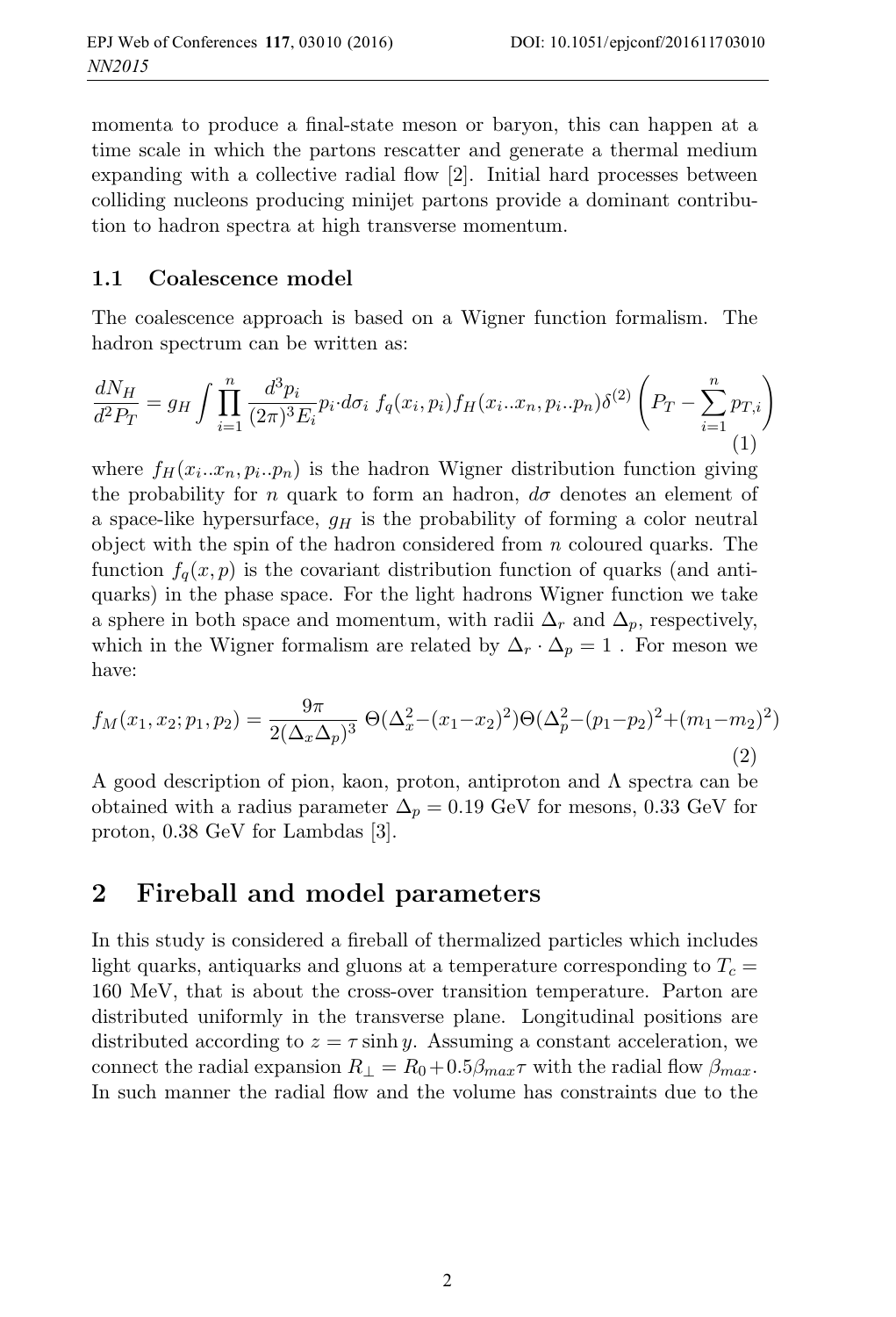momenta to produce a final-state meson or baryon, this can happen at a time scale in which the partons rescatter and generate a thermal medium expanding with a collective radial flow [2]. Initial hard processes between colliding nucleons producing minijet partons provide a dominant contribution to hadron spectra at high transverse momentum.

#### **1.1 Coalescence model**

The coalescence approach is based on a Wigner function formalism. The hadron spectrum can be written as:

$$
\frac{dN_H}{d^2 P_T} = g_H \int \prod_{i=1}^n \frac{d^3 p_i}{(2\pi)^3 E_i} p_i \cdot d\sigma_i \ f_q(x_i, p_i) f_H(x_i...x_n, p_i \cdot p_n) \delta^{(2)} \left( P_T - \sum_{i=1}^n p_{T,i} \right)
$$
\n(1)

where  $f_H(x_i...x_n, p_i..p_n)$  is the hadron Wigner distribution function giving the probability for n quark to form an hadron,  $d\sigma$  denotes an element of a space-like hypersurface,  $g_H$  is the probability of forming a color neutral object with the spin of the hadron considered from  $n$  coloured quarks. The function  $f_q(x, p)$  is the covariant distribution function of quarks (and antiquarks) in the phase space. For the light hadrons Wigner function we take a sphere in both space and momentum, with radii  $\Delta_r$  and  $\Delta_p$ , respectively, which in the Wigner formalism are related by  $\Delta_r \cdot \Delta_p = 1$ . For meson we have:

$$
f_M(x_1, x_2; p_1, p_2) = \frac{9\pi}{2(\Delta_x \Delta_p)^3} \Theta(\Delta_x^2 - (x_1 - x_2)^2) \Theta(\Delta_p^2 - (p_1 - p_2)^2 + (m_1 - m_2)^2)
$$
\n(2)

A good description of pion, kaon, proton, antiproton and Λ spectra can be obtained with a radius parameter  $\Delta_p = 0.19$  GeV for mesons, 0.33 GeV for proton, 0.38 GeV for Lambdas [3].

### **2 Fireball and model parameters**

In this study is considered a fireball of thermalized particles which includes light quarks, antiquarks and gluons at a temperature corresponding to  $T_c$  = 160 MeV, that is about the cross-over transition temperature. Parton are distributed uniformly in the transverse plane. Longitudinal positions are distributed according to  $z = \tau \sinh y$ . Assuming a constant acceleration, we connect the radial expansion  $R_{\perp} = R_0 + 0.5 \beta_{max} \tau$  with the radial flow  $\beta_{max}$ . In such manner the radial flow and the volume has constraints due to the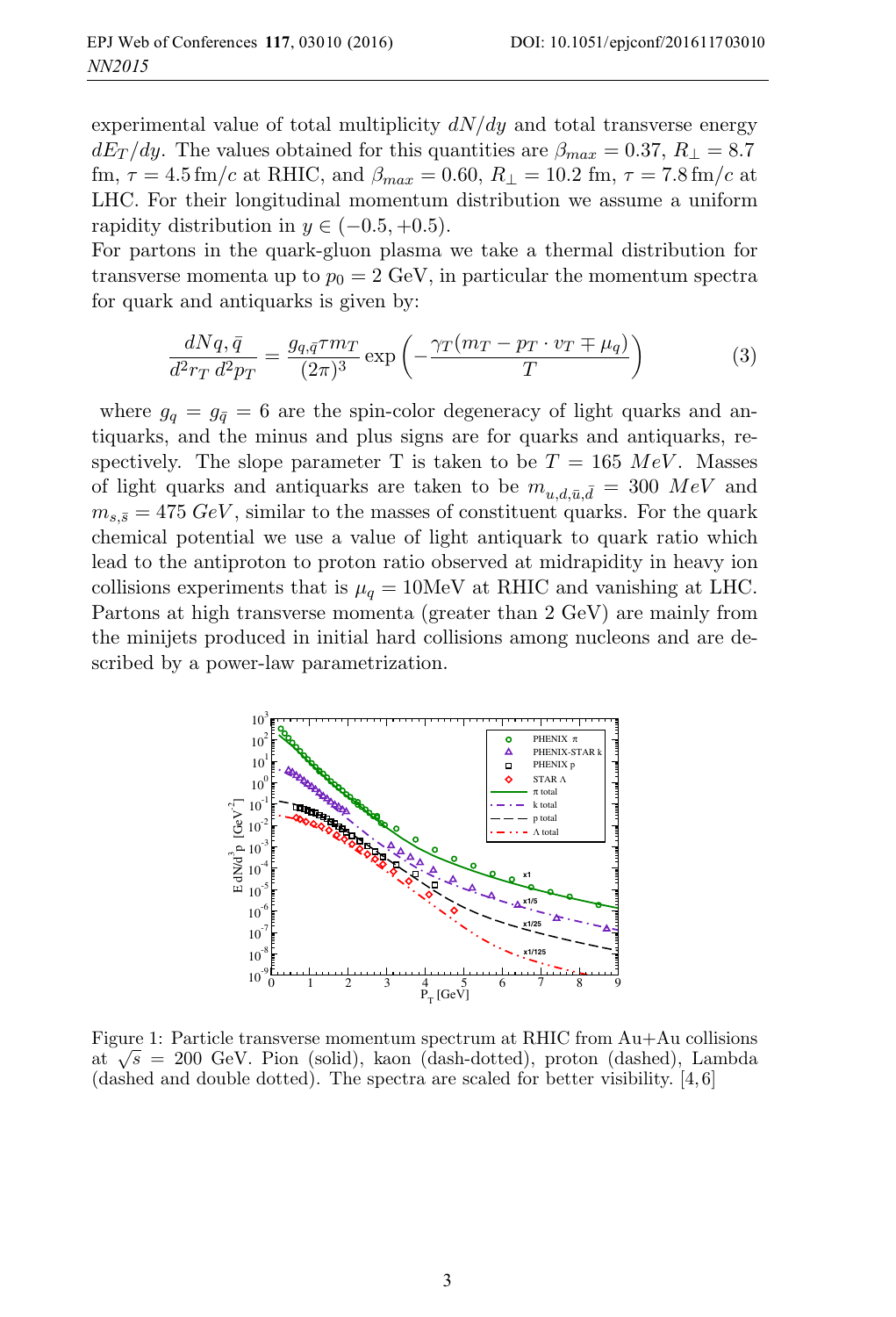experimental value of total multiplicity  $dN/dy$  and total transverse energy  $dE_T/dy$ . The values obtained for this quantities are  $\beta_{max} = 0.37, R_{\perp} = 8.7$ fm,  $\tau = 4.5$  fm/c at RHIC, and  $\beta_{max} = 0.60$ ,  $R_{\perp} = 10.2$  fm,  $\tau = 7.8$  fm/c at LHC. For their longitudinal momentum distribution we assume a uniform rapidity distribution in  $y \in (-0.5, +0.5)$ .

For partons in the quark-gluon plasma we take a thermal distribution for transverse momenta up to  $p_0 = 2 \text{ GeV}$ , in particular the momentum spectra for quark and antiquarks is given by:

$$
\frac{dNq,\bar{q}}{d^2r_T d^2p_T} = \frac{g_{q,\bar{q}}\tau m_T}{(2\pi)^3} \exp\left(-\frac{\gamma_T(m_T - p_T \cdot v_T \mp \mu_q)}{T}\right) \tag{3}
$$

where  $g_q = g_{\bar{q}} = 6$  are the spin-color degeneracy of light quarks and antiquarks, and the minus and plus signs are for quarks and antiquarks, respectively. The slope parameter T is taken to be  $T = 165 \; MeV$ . Masses of light quarks and antiquarks are taken to be  $m_{u,d,\bar{u},\bar{d}} = 300 \; MeV$  and  $m_{s,\bar{s}} = 475 \text{ GeV}$ , similar to the masses of constituent quarks. For the quark chemical potential we use a value of light antiquark to quark ratio which lead to the antiproton to proton ratio observed at midrapidity in heavy ion collisions experiments that is  $\mu_q = 10$ MeV at RHIC and vanishing at LHC. Partons at high transverse momenta (greater than 2 GeV) are mainly from the minijets produced in initial hard collisions among nucleons and are described by a power-law parametrization.



Figure 1: Particle transverse momentum spectrum at RHIC from Au+Au collisions at  $\sqrt{s}$  = 200 GeV. Pion (solid), kaon (dash-dotted), proton (dashed), Lambda (dashed and double dotted). The spectra are scaled for better visibility. [4, 6]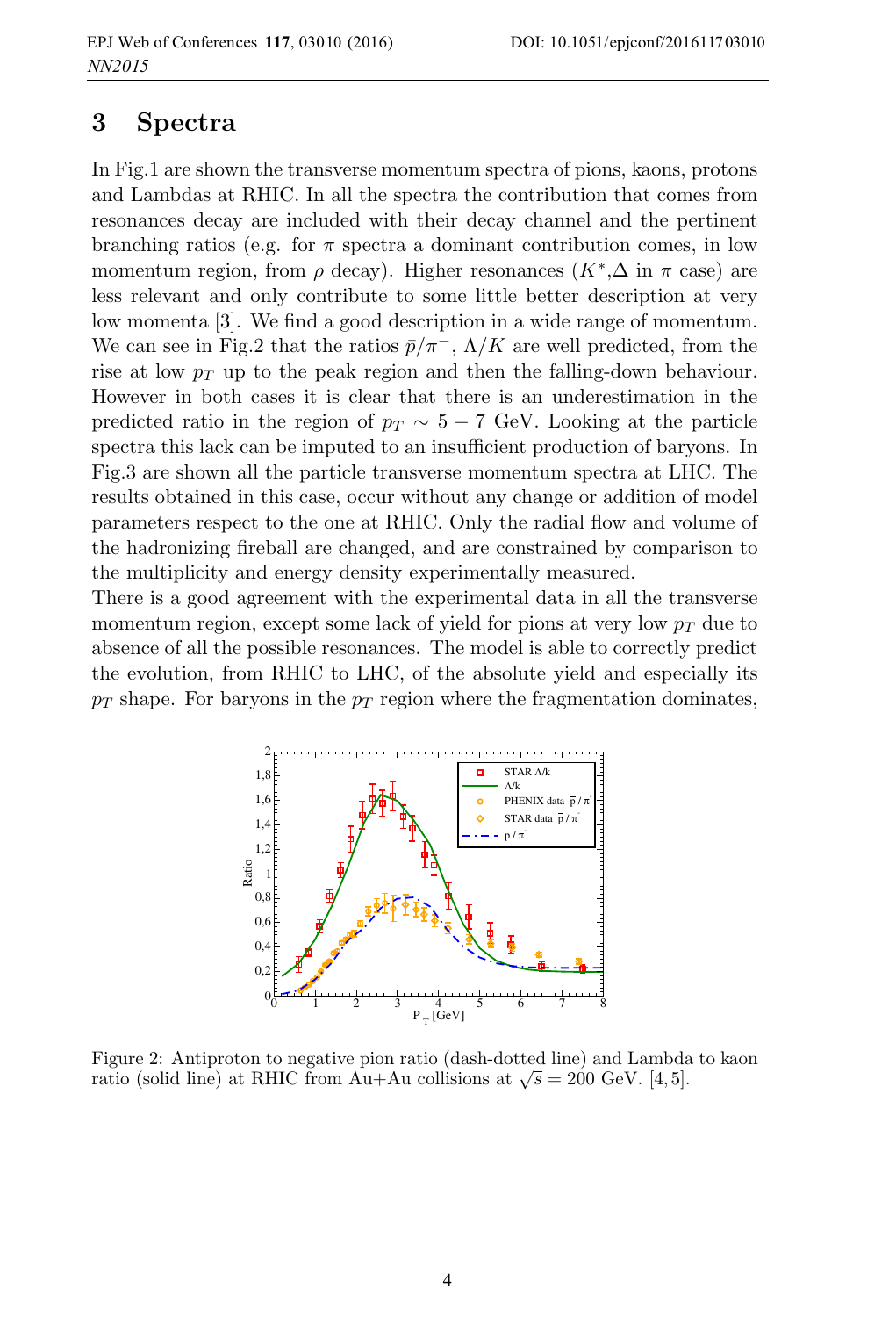#### **3 Spectra**

In Fig.1 are shown the transverse momentum spectra of pions, kaons, protons and Lambdas at RHIC. In all the spectra the contribution that comes from resonances decay are included with their decay channel and the pertinent branching ratios (e.g. for  $\pi$  spectra a dominant contribution comes, in low momentum region, from  $\rho$  decay). Higher resonances  $(K^*,\Delta$  in  $\pi$  case) are less relevant and only contribute to some little better description at very low momenta [3]. We find a good description in a wide range of momentum. We can see in Fig.2 that the ratios  $\bar{p}/\pi^-$ ,  $\Lambda/K$  are well predicted, from the rise at low  $p_T$  up to the peak region and then the falling-down behaviour. However in both cases it is clear that there is an underestimation in the predicted ratio in the region of  $p_T \sim 5 - 7$  GeV. Looking at the particle spectra this lack can be imputed to an insufficient production of baryons. In Fig.3 are shown all the particle transverse momentum spectra at LHC. The results obtained in this case, occur without any change or addition of model parameters respect to the one at RHIC. Only the radial flow and volume of the hadronizing fireball are changed, and are constrained by comparison to the multiplicity and energy density experimentally measured.

There is a good agreement with the experimental data in all the transverse momentum region, except some lack of yield for pions at very low  $p_T$  due to absence of all the possible resonances. The model is able to correctly predict the evolution, from RHIC to LHC, of the absolute yield and especially its  $p_T$  shape. For baryons in the  $p_T$  region where the fragmentation dominates,



Figure 2: Antiproton to negative pion ratio (dash-dotted line) and Lambda to kaon ratio (solid line) at RHIC from Au+Au collisions at  $\sqrt{s} = 200$  GeV. [4,5].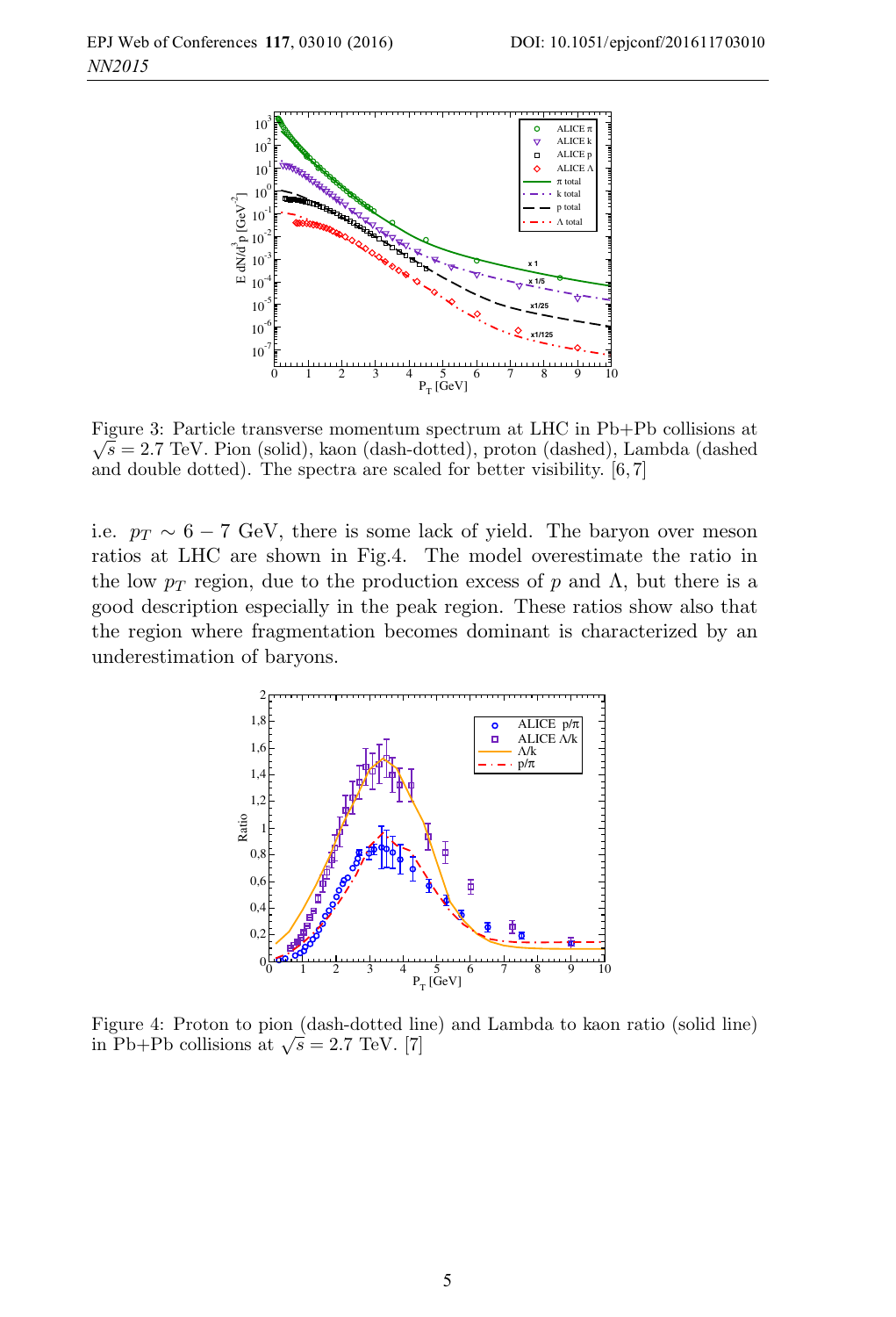

Figure 3: Particle transverse momentum spectrum at LHC in Pb+Pb collisions at  $\sqrt{s} = 2.7$  TeV. Pion (solid), kaon (dash-dotted), proton (dashed), Lambda (dashed) and double dotted). The spectra are scaled for better visibility. [6, 7]

i.e.  $p_T \sim 6 - 7$  GeV, there is some lack of yield. The baryon over meson ratios at LHC are shown in Fig.4. The model overestimate the ratio in the low  $p_T$  region, due to the production excess of p and  $\Lambda$ , but there is a good description especially in the peak region. These ratios show also that the region where fragmentation becomes dominant is characterized by an underestimation of baryons.



Figure 4: Proton to pion (dash-dotted line) and Lambda to kaon ratio (solid line) in Pb+Pb collisions at  $\sqrt{s} = 2.7$  TeV. [7]